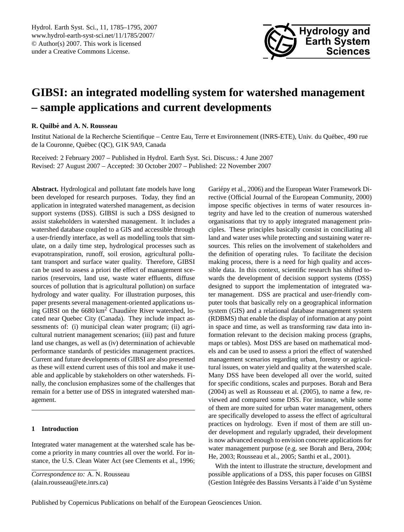<span id="page-0-0"></span>Hydrol. Earth Syst. Sci., 11, 1785–1795, 2007 www.hydrol-earth-syst-sci.net/11/1785/2007/ © Author(s) 2007. This work is licensed under a Creative Commons License.



# **GIBSI: an integrated modelling system for watershed management – sample applications and current developments**

#### **R. Quilbe and A. N. Rousseau ´**

Institut National de la Recherche Scientifique – Centre Eau, Terre et Environnement (INRS-ETE), Univ. du Quebec, 490 rue ´ de la Couronne, Québec (QC), G1K 9A9, Canada

Received: 2 February 2007 – Published in Hydrol. Earth Syst. Sci. Discuss.: 4 June 2007 Revised: 27 August 2007 – Accepted: 30 October 2007 – Published: 22 November 2007

**Abstract.** Hydrological and pollutant fate models have long been developed for research purposes. Today, they find an application in integrated watershed management, as decision support systems (DSS). GIBSI is such a DSS designed to assist stakeholders in watershed management. It includes a watershed database coupled to a GIS and accessible through a user-friendly interface, as well as modelling tools that simulate, on a daily time step, hydrological processes such as evapotranspiration, runoff, soil erosion, agricultural pollutant transport and surface water quality. Therefore, GIBSI can be used to assess a priori the effect of management scenarios (reservoirs, land use, waste water effluents, diffuse sources of pollution that is agricultural pollution) on surface hydrology and water quality. For illustration purposes, this paper presents several management-oriented applications using GIBSI on the  $6680 \text{ km}^2$  Chaudière River watershed, located near Quebec City (Canada). They include impact assessments of: (i) municipal clean water program; (ii) agricultural nutrient management scenarios; (iii) past and future land use changes, as well as (iv) determination of achievable performance standards of pesticides management practices. Current and future developments of GIBSI are also presented as these will extend current uses of this tool and make it useable and applicable by stakeholders on other watersheds. Finally, the conclusion emphasizes some of the challenges that remain for a better use of DSS in integrated watershed management.

# **1 Introduction**

Integrated water management at the watershed scale has become a priority in many countries all over the world. For instance, the U.S. Clean Water Act (see Clements et al., 1996; Gariépy et al., 2006) and the European Water Framework Directive (Official Journal of the European Community, 2000) impose specific objectives in terms of water resources integrity and have led to the creation of numerous watershed organisations that try to apply integrated management principles. These principles basically consist in conciliating all land and water uses while protecting and sustaining water resources. This relies on the involvement of stakeholders and the definition of operating rules. To facilitate the decision making process, there is a need for high quality and accessible data. In this context, scientific research has shifted towards the development of decision support systems (DSS) designed to support the implementation of integrated water management. DSS are practical and user-friendly computer tools that basically rely on a geographical information system (GIS) and a relational database management system (RDBMS) that enable the display of information at any point in space and time, as well as transforming raw data into information relevant to the decision making process (graphs, maps or tables). Most DSS are based on mathematical models and can be used to assess a priori the effect of watershed management scenarios regarding urban, forestry or agricultural issues, on water yield and quality at the watershed scale. Many DSS have been developed all over the world, suited for specific conditions, scales and purposes. Borah and Bera (2004) as well as Rousseau et al. (2005), to name a few, reviewed and compared some DSS. For instance, while some of them are more suited for urban water management, others are specifically developed to assess the effect of agricultural practices on hydrology. Even if most of them are still under development and regularly upgraded, their development is now advanced enough to envision concrete applications for water management purpose (e.g. see Borah and Bera, 2004; He, 2003; Rousseau et al., 2005; Santhi et al., 2001).

With the intent to illustrate the structure, development and possible applications of a DSS, this paper focuses on GIBSI (Gestion Intégrée des Bassins Versants à l'aide d'un Système

*Correspondence to:* A. N. Rousseau (alain.rousseau@ete.inrs.ca)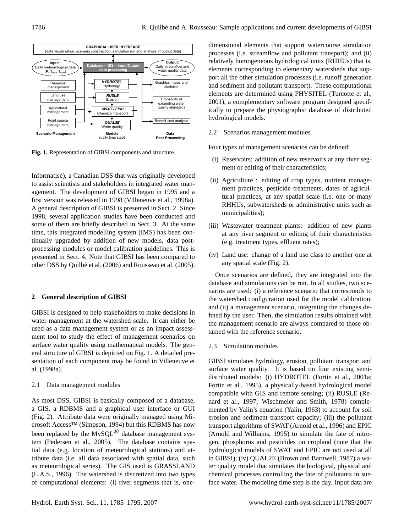

**Fig. 1.** Representation of GIBSI components and structure.

Informatise), a Canadian DSS that was originally developed ´ to assist scientists and stakeholders in integrated water management. The development of GIBSI began in 1995 and a first version was released in 1998 (Villeneuve et al., 1998a). A general description of GIBSI is presented in Sect. 2. Since 1998, several application studies have been conducted and some of them are briefly described in Sect. 3. At the same time, this integrated modelling system (IMS) has been continually upgraded by addition of new models, data postprocessing modules or model calibration guidelines. This is presented in Sect. 4. Note that GIBSI has been compared to other DSS by Quilbé et al. (2006) and Rousseau et al. (2005).

# **2 General description of GIBSI**

GIBSI is designed to help stakeholders to make decisions in water management at the watershed scale. It can either be used as a data management system or as an impact assessment tool to study the effect of management scenarios on surface water quality using mathematical models. The general structure of GIBSI is depicted on Fig. 1. A detailed presentation of each component may be found in Villeneuve et al. (1998a).

### 2.1 Data management modules

As most DSS, GIBSI is basically composed of a database, a GIS, a RDBMS and a graphical user interface or GUI (Fig. 2). Attribute data were originally managed using Microsoft Access™ (Simpson, 1994) but this RDBMS has now been replaced by the  $MySQL^{\circledR}$  database management system (Pedersen et al., 2005). The database contains spatial data (e.g. location of meteorological stations) and attribute data (i.e. all data associated with spatial data, such as meteorological series). The GIS used is GRASSLAND (L.A.S., 1996). The watershed is discretized into two types of computational elements: (i) river segments that is, onedimensional elements that support watercourse simulation processes (i.e. streamflow and pollutant transport); and (ii) relatively homogeneous hydrological units (RHHUs) that is, elements corresponding to elementary watersheds that support all the other simulation processes (i.e. runoff generation and sediment and pollutant transport). These computational elements are determined using PHYSITEL (Turcotte et al., 2001), a complementary software program designed specifically to prepare the physiographic database of distributed hydrological models.

### 2.2 Scenarios management modules

Four types of management scenarios can be defined:

- (i) Reservoirs: addition of new reservoirs at any river segment or editing of their characteristics;
- (ii) Agriculture : editing of crop types, nutrient management practices, pesticide treatments, dates of agricultural practices, at any spatial scale (i.e. one or many RHHUs, subwatersheds or administrative units such as municipalities);
- (iii) Wastewater treatment plants: addition of new plants at any river segment or editing of their characteristics (e.g. treatment types, effluent rates);
- (iv) Land use: change of a land use class to another one at any spatial scale (Fig. 2).

Once scenarios are defined, they are integrated into the database and simulations can be run. In all studies, two scenarios are used: (i) a reference scenario that corresponds to the watershed configuration used for the model calibration, and (ii) a management scenario, integrating the changes defined by the user. Then, the simulation results obtained with the management scenario are always compared to those obtained with the reference scenario.

2.3 Simulation modules

GIBSI simulates hydrology, erosion, pollutant transport and surface water quality. It is based on four existing semidistributed models: (i) HYDROTEL (Fortin et al., 2001a; Fortin et al., 1995), a physically-based hydrological model compatible with GIS and remote sensing; (ii) RUSLE (Renard et al., 1997; Wischmeier and Smith, 1978) complemented by Yalin's equation (Yalin, 1963) to account for soil erosion and sediment transport capacity; (iii) the pollutant transport algorithms of SWAT (Arnold et al., 1996) and EPIC (Arnold and Williams, 1995) to simulate the fate of nitrogen, phosphorus and pesticides on cropland (note that the hydrological models of SWAT and EPIC are not used at all in GIBSI); (iv) QUAL2E (Brown and Barnwell, 1987) a water quality model that simulates the biological, physical and chemical processes controlling the fate of pollutants in surface water. The modeling time step is the day. Input data are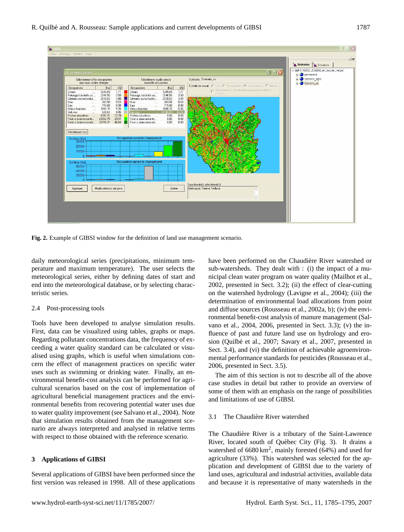

**Fig. 2.** Example of GIBSI window for the definition of land use management scenario.

daily meteorological series (precipitations, minimum temperature and maximum temperature). The user selects the meteorological series, either by defining dates of start and end into the meteorological database, or by selecting characteristic series.

### 2.4 Post-processing tools

Tools have been developed to analyse simulation results. First, data can be visualized using tables, graphs or maps. Regarding pollutant concentrations data, the frequency of exceeding a water quality standard can be calculated or visualised using graphs, which is useful when simulations concern the effect of management practices on specific water uses such as swimming or drinking water. Finally, an environmental benefit-cost analysis can be performed for agricultural scenarios based on the cost of implementation of agricultural beneficial management practices and the environmental benefits from recovering potential water uses due to water quality improvement (see Salvano et al., 2004). Note that simulation results obtained from the management scenario are always interpreted and analysed in relative terms with respect to those obtained with the reference scenario.

### **3 Applications of GIBSI**

Several applications of GIBSI have been performed since the first version was released in 1998. All of these applications have been performed on the Chaudière River watershed or sub-watersheds. They dealt with : (i) the impact of a municipal clean water program on water quality (Mailhot et al., 2002, presented in Sect. 3.2); (ii) the effect of clear-cutting on the watershed hydrology (Lavigne et al., 2004); (iii) the determination of environmental load allocations from point and diffuse sources (Rousseau et al., 2002a, b); (iv) the environmental benefit-cost analysis of manure management (Salvano et al., 2004, 2006, presented in Sect. 3.3); (v) the influence of past and future land use on hydrology and erosion (Quilbé et al., 2007; Savary et al., 2007, presented in Sect. 3.4), and (vi) the definition of achievable agroenvironmental performance standards for pesticides (Rousseau et al., 2006, presented in Sect. 3.5).

The aim of this section is not to describe all of the above case studies in detail but rather to provide an overview of some of them with an emphasis on the range of possibilities and limitations of use of GIBSI.

# 3.1 The Chaudière River watershed

The Chaudière River is a tributary of the Saint-Lawrence River, located south of Quebec City (Fig. 3). It drains a ´ watershed of 6680 km<sup>2</sup> , mainly forested (64%) and used for agriculture (33%). This watershed was selected for the application and development of GIBSI due to the variety of land uses, agricultural and industrial activities, available data and because it is representative of many watersheds in the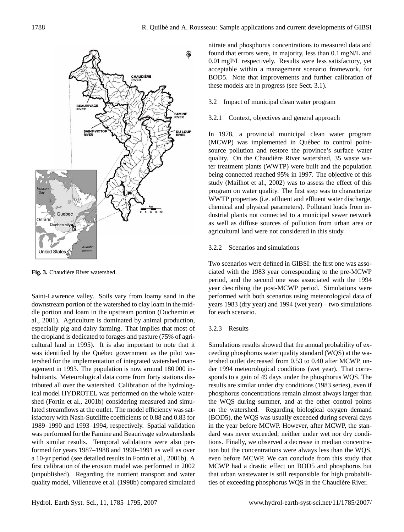

Fig. 3. Chaudière River watershed.

Saint-Lawrence valley. Soils vary from loamy sand in the downstream portion of the watershed to clay loam in the middle portion and loam in the upstream portion (Duchemin et al., 2001). Agriculture is dominated by animal production, especially pig and dairy farming. That implies that most of the cropland is dedicated to forages and pasture (75% of agricultural land in 1995). It is also important to note that it was identified by the Québec government as the pilot watershed for the implementation of integrated watershed management in 1993. The population is now around 180 000 inhabitants. Meteorological data come from forty stations distributed all over the watershed. Calibration of the hydrological model HYDROTEL was performed on the whole watershed (Fortin et al., 2001b) considering measured and simulated streamflows at the outlet. The model efficiency was satisfactory with Nash-Sutcliffe coefficients of 0.88 and 0.83 for 1989–1990 and 1993–1994, respectively. Spatial validation was performed for the Famine and Beaurivage subwatersheds with similar results. Temporal validations were also performed for years 1987–1988 and 1990–1991 as well as over a 10-yr period (see detailed results in Fortin et al., 2001b). A first calibration of the erosion model was performed in 2002 (unpublished). Regarding the nutrient transport and water quality model, Villeneuve et al. (1998b) compared simulated nitrate and phosphorus concentrations to measured data and found that errors were, in majority, less than 0.1 mgN/L and 0.01 mgP/L respectively. Results were less satisfactory, yet acceptable within a management scenario framework, for BOD5. Note that improvements and further calibration of these models are in progress (see Sect. 3.1).

- 3.2 Impact of municipal clean water program
- 3.2.1 Context, objectives and general approach

In 1978, a provincial municipal clean water program (MCWP) was implemented in Québec to control pointsource pollution and restore the province's surface water quality. On the Chaudière River watershed, 35 waste water treatment plants (WWTP) were built and the population being connected reached 95% in 1997. The objective of this study (Mailhot et al., 2002) was to assess the effect of this program on water quality. The first step was to characterize WWTP properties (i.e. affluent and effluent water discharge, chemical and physical parameters). Pollutant loads from industrial plants not connected to a municipal sewer network as well as diffuse sources of pollution from urban area or agricultural land were not considered in this study.

# 3.2.2 Scenarios and simulations

Two scenarios were defined in GIBSI: the first one was associated with the 1983 year corresponding to the pre-MCWP period, and the second one was associated with the 1994 year describing the post-MCWP period. Simulations were performed with both scenarios using meteorological data of years 1983 (dry year) and 1994 (wet year) – two simulations for each scenario.

# 3.2.3 Results

Simulations results showed that the annual probability of exceeding phosphorus water quality standard (WQS) at the watershed outlet decreased from 0.53 to 0.40 after MCWP, under 1994 meteorological conditions (wet year). That corresponds to a gain of 49 days under the phosphorus WQS. The results are similar under dry conditions (1983 series), even if phosphorus concentrations remain almost always larger than the WQS during summer, and at the other control points on the watershed. Regarding biological oxygen demand (BOD5), the WQS was usually exceeded during several days in the year before MCWP. However, after MCWP, the standard was never exceeded, neither under wet nor dry conditions. Finally, we observed a decrease in median concentration but the concentrations were always less than the WQS, even before MCWP. We can conclude from this study that MCWP had a drastic effect on BOD5 and phosphorus but that urban wastewater is still responsible for high probabilities of exceeding phosphorus WQS in the Chaudière River.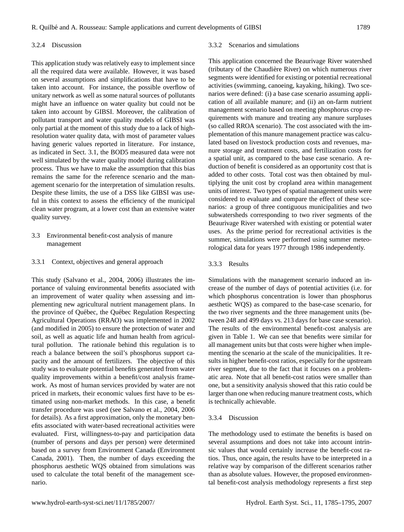This application study was relatively easy to implement since all the required data were available. However, it was based on several assumptions and simplifications that have to be taken into account. For instance, the possible overflow of unitary network as well as some natural sources of pollutants might have an influence on water quality but could not be taken into account by GIBSI. Moreover, the calibration of pollutant transport and water quality models of GIBSI was only partial at the moment of this study due to a lack of highresolution water quality data, with most of parameter values having generic values reported in literature. For instance, as indicated in Sect. 3.1, the BOD5 measured data were not well simulated by the water quality model during calibration process. Thus we have to make the assumption that this bias remains the same for the reference scenario and the management scenario for the interpretation of simulation results. Despite these limits, the use of a DSS like GIBSI was useful in this context to assess the efficiency of the municipal clean water program, at a lower cost than an extensive water quality survey.

- 3.3 Environmental benefit-cost analysis of manure management
- 3.3.1 Context, objectives and general approach

This study (Salvano et al., 2004, 2006) illustrates the importance of valuing environmental benefits associated with an improvement of water quality when assessing and implementing new agricultural nutrient management plans. In the province of Québec, the Québec Regulation Respecting Agricultural Operations (RRAO) was implemented in 2002 (and modified in 2005) to ensure the protection of water and soil, as well as aquatic life and human health from agricultural pollution. The rationale behind this regulation is to reach a balance between the soil's phosphorus support capacity and the amount of fertilizers. The objective of this study was to evaluate potential benefits generated from water quality improvements within a benefit/cost analysis framework. As most of human services provided by water are not priced in markets, their economic values first have to be estimated using non-market methods. In this case, a benefit transfer procedure was used (see Salvano et al., 2004, 2006 for details). As a first approximation, only the monetary benefits associated with water-based recreational activities were evaluated. First, willingness-to-pay and participation data (number of persons and days per person) were determined based on a survey from Environment Canada (Environment Canada, 2001). Then, the number of days exceeding the phosphorus aesthetic WQS obtained from simulations was used to calculate the total benefit of the management scenario.

#### 3.3.2 Scenarios and simulations

This application concerned the Beaurivage River watershed (tributary of the Chaudiere River) on which numerous river ` segments were identified for existing or potential recreational activities (swimming, canoeing, kayaking, hiking). Two scenarios were defined: (i) a base case scenario assuming application of all available manure; and (ii) an on-farm nutrient management scenario based on meeting phosphorus crop requirements with manure and treating any manure surpluses (so called RROA scenario). The cost associated with the implementation of this manure management practice was calculated based on livestock production costs and revenues, manure storage and treatment costs, and fertilization costs for a spatial unit, as compared to the base case scenario. A reduction of benefit is considered as an opportunity cost that is added to other costs. Total cost was then obtained by multiplying the unit cost by cropland area within management units of interest. Two types of spatial management units were considered to evaluate and compare the effect of these scenarios: a group of three contiguous municipalities and two subwatersheds corresponding to two river segments of the Beaurivage River watershed with existing or potential water uses. As the prime period for recreational activities is the summer, simulations were performed using summer meteorological data for years 1977 through 1986 independently.

#### 3.3.3 Results

Simulations with the management scenario induced an increase of the number of days of potential activities (i.e. for which phosphorus concentration is lower than phosphorus aesthetic WQS) as compared to the base-case scenario, for the two river segments and the three management units (between 248 and 499 days vs. 213 days for base case scenario). The results of the environmental benefit-cost analysis are given in Table 1. We can see that benefits were similar for all management units but that costs were higher when implementing the scenario at the scale of the municipalities. It results in higher benefit-cost ratios, especially for the upstream river segment, due to the fact that it focuses on a problematic area. Note that all benefit-cost ratios were smaller than one, but a sensitivity analysis showed that this ratio could be larger than one when reducing manure treatment costs, which is technically achievable.

#### 3.3.4 Discussion

The methodology used to estimate the benefits is based on several assumptions and does not take into account intrinsic values that would certainly increase the benefit-cost ratios. Thus, once again, the results have to be interpreted in a relative way by comparison of the different scenarios rather than as absolute values. However, the proposed environmental benefit-cost analysis methodology represents a first step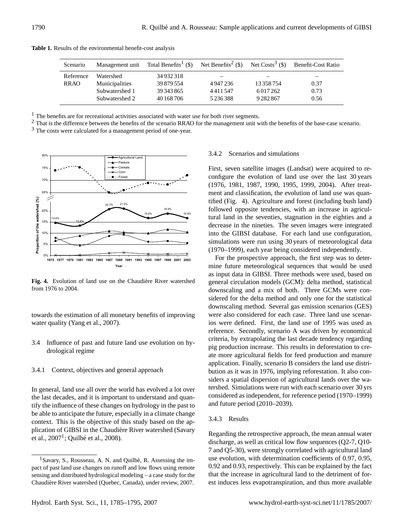| Scenario    | Management unit | Total Benefits <sup>1</sup> (\$) | Net Benefits <sup>2</sup> (\$) Net Costs <sup>3</sup> (\$) |               | Benefit-Cost Ratio |
|-------------|-----------------|----------------------------------|------------------------------------------------------------|---------------|--------------------|
| Reference   | Watershed       | 34 932 318                       | -                                                          |               |                    |
| <b>RRAO</b> | Municipalities  | 39 879 554                       | 4947236                                                    | 13358754      | 0.37               |
|             | Subwatershed 1  | 39 343 865                       | 4411547                                                    | 6017262       | 0.73               |
|             | Subwatershed 2  | 40 168 706                       | 5236388                                                    | 9 2 8 2 8 6 7 | 0.56               |

**Table 1.** Results of the environmental benefit-cost analysis

<sup>1</sup> The benefits are for recreational activities associated with water use for both river segments.

<sup>2</sup> That is the difference between the benefits of the scenario RRAO for the management unit with the benefits of the base-case scenario.

<sup>3</sup> The costs were calculated for a management period of one-year.



Fig. 4. Evolution of land use on the Chaudière River watershed from 1976 to 2004.

towards the estimation of all monetary benefits of improving water quality (Yang et al., 2007).

- 3.4 Influence of past and future land use evolution on hydrological regime
- 3.4.1 Context, objectives and general approach

In general, land use all over the world has evolved a lot over the last decades, and it is important to understand and quantify the influence of these changes on hydrology in the past to be able to anticipate the future, especially in a climate change context. This is the objective of this study based on the application of GIBSI in the Chaudière River watershed (Savary et al.,  $2007<sup>1</sup>$  $2007<sup>1</sup>$  $2007<sup>1</sup>$ ; Quilbé et al., 2008).

#### 3.4.2 Scenarios and simulations

First, seven satellite images (Landsat) were acquired to reconfigure the evolution of land use over the last 30 years (1976, 1981, 1987, 1990, 1995, 1999, 2004). After treatment and classification, the evolution of land use was quantified (Fig. 4). Agriculture and forest (including bush land) followed opposite tendencies, with an increase in agricultural land in the seventies, stagnation in the eighties and a decrease in the nineties. The seven images were integrated into the GIBSI database. For each land use configuration, simulations were run using 30 years of meteorological data (1970–1999), each year being considered independently.

For the prospective approach, the first step was to determine future meteorological sequences that would be used as input data in GIBSI. Three methods were used, based on general circulation models (GCM): delta method, statistical downscaling and a mix of both. Three GCMs were considered for the delta method and only one for the statistical downscaling method. Several gas emission scenarios (GES) were also considered for each case. Three land use scenarios were defined. First, the land use of 1995 was used as reference. Secondly, scenario A was driven by economical criteria, by extrapolating the last decade tendency regarding pig production increase. This results in deforestation to create more agricultural fields for feed production and manure application. Finally, scenario B considers the land use distribution as it was in 1976, implying reforestation. It also considers a spatial dispersion of agricultural lands over the watershed. Simulations were run with each scenario over 30 yrs considered as independent, for reference period (1970–1999) and future period (2010–2039).

#### 3.4.3 Results

Regarding the retrospective approach, the mean annual water discharge, as well as critical low flow sequences (Q2-7, Q10-7 and Q5-30), were strongly correlated with agricultural land use evolution, with determination coefficients of 0.97, 0.95, 0.92 and 0.93, respectively. This can be explained by the fact that the increase in agricultural land to the detriment of forest induces less evapotranspiration, and thus more available

<span id="page-5-0"></span><sup>&</sup>lt;sup>1</sup> Savary, S., Rousseau, A. N. and Quilbé, R. Assessing the impact of past land use changes on runoff and low flows using remote sensing and distributed hydrological modeling – a case study for the Chaudiere River watershed (Quebec, Canada), under review, 2007. `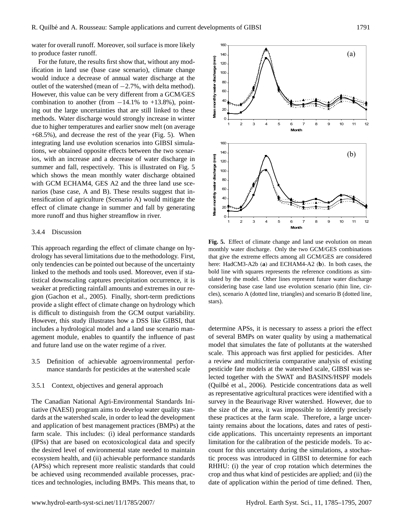water for overall runoff. Moreover, soil surface is more likely to produce faster runoff.

For the future, the results first show that, without any modification in land use (base case scenario), climate change would induce a decrease of annual water discharge at the outlet of the watershed (mean of −2.7%, with delta method). However, this value can be very different from a GCM/GES combination to another (from  $-14.1\%$  to  $+13.8\%$ ), pointing out the large uncertainties that are still linked to these methods. Water discharge would strongly increase in winter due to higher temperatures and earlier snow melt (on average +68.5%), and decrease the rest of the year (Fig. 5). When integrating land use evolution scenarios into GIBSI simulations, we obtained opposite effects between the two scenarios, with an increase and a decrease of water discharge in summer and fall, respectively. This is illustrated on Fig. 5 which shows the mean monthly water discharge obtained with GCM ECHAM4, GES A2 and the three land use scenarios (base case, A and B). These results suggest that intensification of agriculture (Scenario A) would mitigate the effect of climate change in summer and fall by generating more runoff and thus higher streamflow in river.

#### 3.4.4 Discussion

This approach regarding the effect of climate change on hydrology has several limitations due to the methodology. First, only tendencies can be pointed out because of the uncertainty linked to the methods and tools used. Moreover, even if statistical downscaling captures precipitation occurrence, it is weaker at predicting rainfall amounts and extremes in our region (Gachon et al., 2005). Finally, short-term predictions provide a slight effect of climate change on hydrology which is difficult to distinguish from the GCM output variability. However, this study illustrates how a DSS like GIBSI, that includes a hydrological model and a land use scenario management module, enables to quantify the influence of past and future land use on the water regime of a river.

- 3.5 Definition of achievable agroenvironmental performance standards for pesticides at the watershed scale
- 3.5.1 Context, objectives and general approach

The Canadian National Agri-Environmental Standards Initiative (NAESI) program aims to develop water quality standards at the watershed scale, in order to lead the development and application of best management practices (BMPs) at the farm scale. This includes: (i) ideal performance standards (IPSs) that are based on ecotoxicological data and specify the desired level of environmental state needed to maintain ecosystem health, and (ii) achievable performance standards (APSs) which represent more realistic standards that could be achieved using recommended available processes, practices and technologies, including BMPs. This means that, to



**Fig. 5.** Effect of climate change and land use evolution on mean monthly water discharge. Only the two GCM/GES combinations that give the extreme effects among all GCM/GES are considered here: HadCM3-A2b (**a**) and ECHAM4-A2 (**b**). In both cases, the bold line with squares represents the reference conditions as simulated by the model. Other lines represent future water discharge considering base case land use evolution scenario (thin line, circles), scenario A (dotted line, triangles) and scenario B (dotted line, stars).

determine APSs, it is necessary to assess a priori the effect of several BMPs on water quality by using a mathematical model that simulates the fate of pollutants at the watershed scale. This approach was first applied for pesticides. After a review and multicriteria comparative analysis of existing pesticide fate models at the watershed scale, GIBSI was selected together with the SWAT and BASINS/HSPF models (Quilbé et al., 2006). Pesticide concentrations data as well as representative agricultural practices were identified with a survey in the Beaurivage River watershed. However, due to the size of the area, it was impossible to identify precisely these practices at the farm scale. Therefore, a large uncertainty remains about the locations, dates and rates of pesticide applications. This uncertainty represents an important limitation for the calibration of the pesticide models. To account for this uncertainty during the simulations, a stochastic process was introduced in GIBSI to determine for each RHHU: (i) the year of crop rotation which determines the crop and thus what kind of pesticides are applied; and (ii) the date of application within the period of time defined. Then,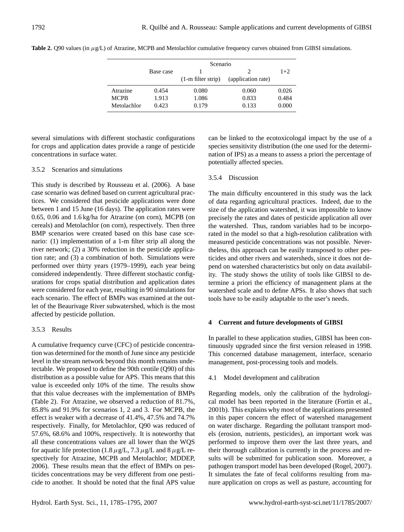|             | Scenario  |                      |                    |       |  |
|-------------|-----------|----------------------|--------------------|-------|--|
|             | Base case |                      | 2                  | $1+2$ |  |
|             |           | $(1-m$ filter strip) | (application rate) |       |  |
| Atrazine    | 0.454     | 0.080                | 0.060              | 0.026 |  |
| <b>MCPB</b> | 1.913     | 1.086                | 0.833              | 0.484 |  |
| Metolachlor | 0.423     | 0.179                | 0.133              | 0.000 |  |

Table 2. Q90 values (in  $\mu$ g/L) of Atrazine, MCPB and Metolachlor cumulative frequency curves obtained from GIBSI simulations.

several simulations with different stochastic configurations for crops and application dates provide a range of pesticide concentrations in surface water.

# 3.5.2 Scenarios and simulations

This study is described by Rousseau et al. (2006). A base case scenario was defined based on current agricultural practices. We considered that pesticide applications were done between 1 and 15 June (16 days). The application rates were 0.65, 0.06 and 1.6 kg/ha for Atrazine (on corn), MCPB (on cereals) and Metolachlor (on corn), respectively. Then three BMP scenarios were created based on this base case scenario: (1) implementation of a 1-m filter strip all along the river network; (2) a 30% reduction in the pesticide application rate; and (3) a combination of both. Simulations were performed over thirty years (1979–1999), each year being considered independently. Three different stochastic configurations for crops spatial distribution and application dates were considered for each year, resulting in 90 simulations for each scenario. The effect of BMPs was examined at the outlet of the Beaurivage River subwatershed, which is the most affected by pesticide pollution.

### 3.5.3 Results

A cumulative frequency curve (CFC) of pesticide concentration was determined for the month of June since any pesticide level in the stream network beyond this month remains undetectable. We proposed to define the 90th centile (Q90) of this distribution as a possible value for APS. This means that this value is exceeded only 10% of the time. The results show that this value decreases with the implementation of BMPs (Table 2). For Atrazine, we observed a reduction of 81.7%, 85.8% and 91.9% for scenarios 1, 2 and 3. For MCPB, the effect is weaker with a decrease of 41.4%, 47.5% and 74.7% respectively. Finally, for Metolachlor, Q90 was reduced of 57.6%, 68.6% and 100%, respectively. It is noteworthy that all these concentrations values are all lower than the WQS for aquatic life protection (1.8  $\mu$ g/L, 7.3  $\mu$ g/L and 8  $\mu$ g/L respectively for Atrazine, MCPB and Metolachlor; MDDEP, 2006). These results mean that the effect of BMPs on pesticides concentrations may be very different from one pesticide to another. It should be noted that the final APS value can be linked to the ecotoxicologal impact by the use of a species sensitivity distribution (the one used for the determination of IPS) as a means to assess a priori the percentage of potentially affected species.

# 3.5.4 Discussion

The main difficulty encountered in this study was the lack of data regarding agricultural practices. Indeed, due to the size of the application watershed, it was impossible to know precisely the rates and dates of pesticide application all over the watershed. Thus, random variables had to be incorporated in the model so that a high-resolution calibration with measured pesticide concentrations was not possible. Nevertheless, this approach can be easily transposed to other pesticides and other rivers and watersheds, since it does not depend on watershed characteristics but only on data availability. The study shows the utility of tools like GIBSI to determine a priori the efficiency of management plans at the watershed scale and to define APSs. It also shows that such tools have to be easily adaptable to the user's needs.

### **4 Current and future developments of GIBSI**

In parallel to these application studies, GIBSI has been continuously upgraded since the first version released in 1998. This concerned database management, interface, scenario management, post-processing tools and models.

### 4.1 Model development and calibration

Regarding models, only the calibration of the hydrological model has been reported in the literature (Fortin et al., 2001b). This explains why most of the applications presented in this paper concern the effect of watershed management on water discharge. Regarding the pollutant transport models (erosion, nutrients, pesticides), an important work was performed to improve them over the last three years, and their thorough calibration is currently in the process and results will be submitted for publication soon. Moreover, a pathogen transport model has been developed (Rogel, 2007). It simulates the fate of fecal coliforms resulting from manure application on crops as well as pasture, accounting for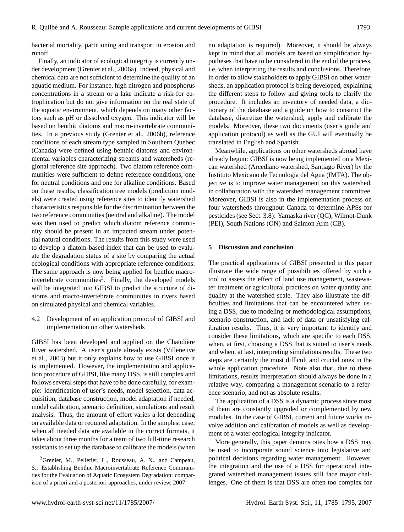bacterial mortality, partitioning and transport in erosion and runoff.

Finally, an indicator of ecological integrity is currently under development (Grenier et al., 2006a). Indeed, physical and chemical data are not sufficient to determine the quality of an aquatic medium. For instance, high nitrogen and phosphorus concentrations in a stream or a lake indicate a risk for eutrophication but do not give information on the real state of the aquatic environment, which depends on many other factors such as pH or dissolved oxygen. This indicator will be based on benthic diatoms and macro-invertebrate communities. In a previous study (Grenier et al., 2006b), reference conditions of each stream type sampled in Southern Quebec (Canada) were defined using benthic diatoms and environmental variables characterizing streams and watersheds (regional reference site approach). Two diatom reference communities were sufficient to define reference conditions, one for neutral conditions and one for alkaline conditions. Based on these results, classification tree models (prediction models) were created using reference sites to identify watershed characteristics responsible for the discrimination between the two reference communities (neutral and alkaline). The model was then used to predict which diatom reference community should be present in an impacted stream under potential natural conditions. The results from this study were used to develop a diatom-based index that can be used to evaluate the degradation status of a site by comparing the actual ecological conditions with appropriate reference conditions. The same approach is now being applied for benthic macro-invertebrate communities<sup>[2](#page-8-0)</sup>. Finally, the developed models will be integrated into GIBSI to predict the structure of diatoms and macro-invertebrate communities in rivers based on simulated physical and chemical variables.

4.2 Development of an application protocol of GIBSI and implementation on other watersheds

GIBSI has been developed and applied on the Chaudiere River watershed. A user's guide already exists (Villeneuve et al., 2003) but it only explains how to use GIBSI once it is implemented. However, the implementation and application procedure of GIBSI, like many DSS, is still complex and follows several steps that have to be done carefully, for example: identification of user's needs, model selection, data acquisition, database construction, model adaptation if needed, model calibration, scenario definition, simulations and result analysis. Thus, the amount of effort varies a lot depending on available data or required adaptation. In the simplest case, when all needed data are available in the correct formats, it takes about three months for a team of two full-time research assistants to set up the database to calibrate the models (when no adaptation is required). Moreover, it should be always kept in mind that all models are based on simplification hypotheses that have to be considered in the end of the process, i.e. when interpreting the results and conclusions. Therefore, in order to allow stakeholders to apply GIBSI on other watersheds, an application protocol is being developed, explaining the different steps to follow and giving tools to clarify the procedure. It includes an inventory of needed data, a dictionary of the database and a guide on how to construct the database, discretize the watershed, apply and calibrate the models. Moreover, these two documents (user's guide and application protocol) as well as the GUI will eventually be translated in English and Spanish.

Meanwhile, applications on other watersheds abroad have already begun: GIBSI is now being implemented on a Mexican watershed (Arcediano watershed, Santiago River) by the Instituto Mexicano de Tecnología del Agua (IMTA). The objective is to improve water management on this watershed, in collaboration with the watershed management committee. Moreover, GIBSI is also in the implementation process on four watersheds throughout Canada to determine APSs for pesticides (see Sect. 3.8): Yamaska river (QC), Wilmot-Dunk (PEI), South Nations (ON) and Salmon Arm (CB).

#### **5 Discussion and conclusion**

The practical applications of GIBSI presented in this paper illustrate the wide range of possibilities offered by such a tool to assess the effect of land use management, wastewater treatment or agricultural practices on water quantity and quality at the watershed scale. They also illustrate the difficulties and limitations that can be encountered when using a DSS, due to modeling or methodological assumptions, scenario construction, and lack of data or unsatisfying calibration results. Thus, it is very important to identify and consider these limitations, which are specific to each DSS, when, at first, choosing a DSS that is suited to user's needs and when, at last, interpreting simulations results. These two steps are certainly the most difficult and crucial ones in the whole application procedure. Note also that, due to these limitations, results interpretation should always be done in a relative way, comparing a management scenario to a reference scenario, and not as absolute results.

The application of a DSS is a dynamic process since most of them are constantly upgraded or complemented by new modules. In the case of GIBSI, current and future works involve addition and calibration of models as well as development of a water ecological integrity indicator.

More generally, this paper demonstrates how a DSS may be used to incorporate sound science into legislative and political decisions regarding water management. However, the integration and the use of a DSS for operational integrated watershed management issues still face major challenges. One of them is that DSS are often too complex for

<span id="page-8-0"></span><sup>2</sup>Grenier, M., Pelletier, L., Rousseau, A. N., and Campeau, S.: Establishing Benthic Macroinvertabrate Reference Communities for the Evaluation of Aquatic Ecosystem Degradation: comparison of a priori and a posteriori approaches, under review, 2007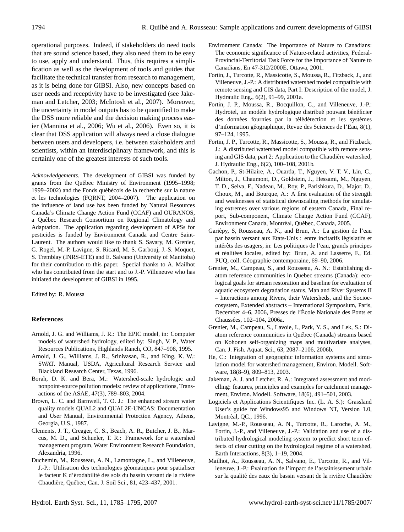operational purposes. Indeed, if stakeholders do need tools that are sound science based, they also need them to be easy to use, apply and understand. Thus, this requires a simplification as well as the development of tools and guides that facilitate the technical transfer from research to management, as it is being done for GIBSI. Also, new concepts based on user needs and receptivity have to be investigated (see Jakeman and Letcher, 2003; McIntosh et al., 2007). Moreover, the uncertainty in model outputs has to be quantified to make the DSS more reliable and the decision making process easier (Mannina et al., 2006; Wu et al., 2006). Even so, it is clear that DSS application will always need a close dialogue between users and developers, i.e. between stakeholders and scientists, within an interdisciplinary framework, and this is certainly one of the greatest interests of such tools.

*Acknowledgements.* The development of GIBSI was funded by grants from the Québec Ministry of Environment (1995–1998; 1999–2002) and the Fonds québécois de la recherche sur la nature et les technologies (FQRNT, 2004–2007). The application on the influence of land use has been funded by Natural Resources Canada's Climate Change Action Fund (CCAF) and OURANOS, a Quebec Research Consortium on Regional Climatology and ´ Adaptation. The application regarding development of APSs for pesticides is funded by Environment Canada and Centre Saint-Laurent. The authors would like to thank S. Savary, M. Grenier, G. Rogel, M.-P. Lavigne, S. Ricard, M. S. Garbouj, J.-S. Moquet, S. Tremblay (INRS-ETE) and E. Salvano (University of Manitoba) for their contribution to this paper. Special thanks to A. Mailhot who has contributed from the start and to J.-P. Villeneuve who has initiated the development of GIBSI in 1995.

Edited by: R. Moussa

### **References**

- Arnold, J. G. and Williams, J. R.: The EPIC model, in: Computer models of watershed hydrology, edited by: Singh, V. P., Water Resources Publications, Highlands Ranch, CO, 847–908, 1995.
- Arnold, J. G., Williams, J. R., Srinivasan, R., and King, K. W.: SWAT. Manual, USDA, Agricultural Research Service and Blackland Research Center, Texas, 1996.
- Borah, D. K. and Bera, M.: Watershed-scale hydrologic and nonpoint-source pollution models: review of applications, Transactions of the ASAE, 47(3), 789–803, 2004.
- Brown, L. C. and Barnwell, T. O. J.: The enhanced stream water quality models QUAL2 and QUAL2E-UNCAS: Documentation and User Manual, Environmental Protection Agency, Athens, Georgia, U.S., 1987.
- Clements, J. T., Creager, C. S., Beach, A. R., Butcher, J. B., Marcus, M. D., and Schueler, T. R.: Framework for a watershed management program, Water Environment Research Foundation, Alexandria, 1996.
- Duchemin, M., Rousseau, A. N., Lamontagne, L., and Villeneuve, J.-P.: Utilisation des technologies geomatiques pour spatialiser ´ le facteur K d'érodabilité des sols du bassin versant de la rivière Chaudière, Québec, Can. J. Soil Sci., 81, 423-437, 2001.
- Environment Canada: The importance of Nature to Canadians: The economic significance of Nature-related activities, Federal-Provincial-Territorial Task Force for the Importance of Nature to Canadians, En 47-312/2000E, Ottawa, 2001.
- Fortin, J., Turcotte, R., Massicotte, S., Moussa, R., Fitzback, J., and Villeneuve, J.-P.: A distributed watershed model compatible with remote sensing and GIS data, Part I: Description of the model, J. Hydraulic Eng., 6(2), 91–99, 2001a.
- Fortin, J. P., Moussa, R., Bocquillon, C., and Villeneuve, J.-P.: Hydrotel, un modèle hydrologique distribué pouvant bénéficier des données fournies par la télédétection et les systèmes d'information géographique, Revue des Sciences de l'Eau, 8(1), 97–124, 1995.
- Fortin, J. P., Turcotte, R., Massicotte, S., Moussa, R., and Fitzback, J.: A distributed watershed model compatible with remote sensing and GIS data, part 2: Application to the Chaudière watershed, J. Hydraulic Eng., 6(2), 100–108, 2001b.
- Gachon, P., St-Hilaire, A., Ouarda, T., Nguyen, V. T. V., Lin, C., Milton, J., Chaumont, D., Goldstein, J., Hessami, M., Nguyen, T. D., Selva, F., Nadeau, M., Roy, P., Parishkura, D., Major, D., Choux, M., and Bourque, A.: A first evaluation of the strength and weaknesses of statistical downscaling methods for simulating extremes over various regions of eastern Canada, Final report, Sub-component, Climate Change Action Fund (CCAF), Environment Canada, Montréal, Québec, Canada, 2005.
- Gariépy, S, Rousseau, A. N., and Brun, A.: La gestion de l'eau par bassin versant aux Etats-Unis : entre incitatifs legislatifs et ´ intérêts des usagers, in: Les politiques de l'eau, grands principes et réalitées locales, edited by: Brun, A. and Lasserre, F., Ed. PUQ, coll. Géographie contemporaine, 69-90, 2006.
- Grenier, M., Campeau, S., and Rousseau, A. N.: Establishing diatom reference communities in Quebec streams (Canada): ecological goals for stream restoration and baseline for evaluation of aquatic ecosystem degradation status, Man and River Systems II – Interactions among Rivers, their Watersheds, and the Socioecosystem, Extended abstracts – International Symposium, Paris, December 4–6, 2006, Presses de l'Ecole Nationale des Ponts et ´ Chaussées, 102-104, 2006a.
- Grenier, M., Campeau, S., Lavoie, I., Park, Y. S., and Lek, S.: Diatom reference communities in Quebec (Canada) streams based ´ on Kohonen self-organizing maps and multivariate analyses, Can. J. Fish. Aquat. Sci., 63, 2087–2106, 2006b.
- He, C.: Integration of geographic information systems and simulation model for watershed management, Environ. Modell. Software, 18(8–9), 809–813, 2003.
- Jakeman, A. J. and Letcher, R. A.: Integrated assessment and modelling: features, principles and examples for catchment management, Environ. Modell. Software, 18(6), 491–501, 2003.
- Logiciels et Applications Scientifiques Inc. (L. A. S.): Grassland User's guide for Windows95 and Windows NT, Version 1.0, Montréal, QC., 1996.
- Lavigne, M.-P., Rousseau, A. N., Turcotte, R., Laroche, A. M., Fortin, J.-P., and Villeneuve, J.-P.: Validation and use of a distributed hydrological modeling system to predict short term effects of clear cutting on the hydrological regime of a watershed, Earth Interactions, 8(3), 1–19, 2004.
- Mailhot, A., Rousseau, A. N., Salvano, E., Turcotte, R., and Villeneuve, J.-P.: Evaluation de l'impact de l'assainissement urbain ´ sur la qualité des eaux du bassin versant de la rivière Chaudière